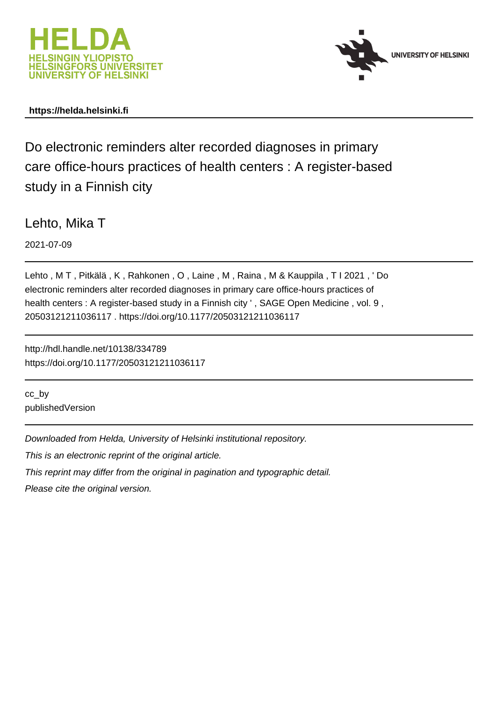



## **https://helda.helsinki.fi**

Do electronic reminders alter recorded diagnoses in primary care office-hours practices of health centers : A register-based study in a Finnish city

Lehto, Mika T

2021-07-09

Lehto , M T , Pitkälä , K , Rahkonen , O , Laine , M , Raina , M & Kauppila , T I 2021 , ' Do electronic reminders alter recorded diagnoses in primary care office-hours practices of health centers : A register-based study in a Finnish city ' , SAGE Open Medicine , vol. 9 , 20503121211036117 . https://doi.org/10.1177/20503121211036117

http://hdl.handle.net/10138/334789 https://doi.org/10.1177/20503121211036117

cc\_by publishedVersion

Downloaded from Helda, University of Helsinki institutional repository.

This is an electronic reprint of the original article.

This reprint may differ from the original in pagination and typographic detail.

Please cite the original version.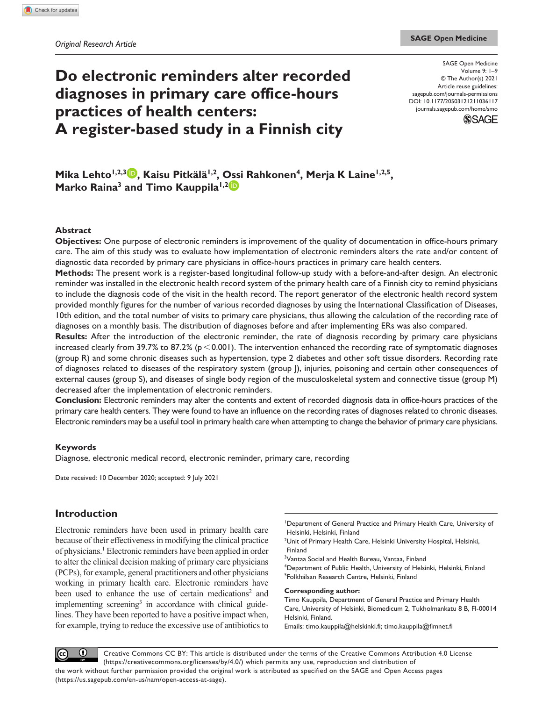# **Do electronic reminders alter recorded diagnoses in primary care office-hours practices of health centers: A register-based study in a Finnish city**

DOI: 10.1177/20503121211036117 SAGE Open Medicine Volume 9: 1–9 © The Author(s) 2021 Article reuse guidelines: [sagepub.com/journals-permissions](https://uk.sagepub.com/en-gb/journals-permissions) [journals.sagepub.com/home/smo](https://journals.sagepub.com/home/smo)



Mika Lehto<sup>1,2,3</sup> , Kaisu Pitkälä<sup>1,2</sup>, Ossi Rahkonen<sup>4</sup>, Merja K Laine<sup>1,2,5</sup>, **Marko Raina<sup>3</sup> and Timo Kauppila<sup>1,2</sup><sup>1</sup>** 

## **Abstract**

**Objectives:** One purpose of electronic reminders is improvement of the quality of documentation in office-hours primary care. The aim of this study was to evaluate how implementation of electronic reminders alters the rate and/or content of diagnostic data recorded by primary care physicians in office-hours practices in primary care health centers.

**Methods:** The present work is a register-based longitudinal follow-up study with a before-and-after design. An electronic reminder was installed in the electronic health record system of the primary health care of a Finnish city to remind physicians to include the diagnosis code of the visit in the health record. The report generator of the electronic health record system provided monthly figures for the number of various recorded diagnoses by using the International Classification of Diseases, 10th edition, and the total number of visits to primary care physicians, thus allowing the calculation of the recording rate of diagnoses on a monthly basis. The distribution of diagnoses before and after implementing ERs was also compared.

**Results:** After the introduction of the electronic reminder, the rate of diagnosis recording by primary care physicians increased clearly from 39.7% to 87.2% ( $p < 0.001$ ). The intervention enhanced the recording rate of symptomatic diagnoses (group R) and some chronic diseases such as hypertension, type 2 diabetes and other soft tissue disorders. Recording rate of diagnoses related to diseases of the respiratory system (group J), injuries, poisoning and certain other consequences of external causes (group S), and diseases of single body region of the musculoskeletal system and connective tissue (group M) decreased after the implementation of electronic reminders.

**Conclusion:** Electronic reminders may alter the contents and extent of recorded diagnosis data in office-hours practices of the primary care health centers. They were found to have an influence on the recording rates of diagnoses related to chronic diseases. Electronic reminders may be a useful tool in primary health care when attempting to change the behavior of primary care physicians.

### **Keywords**

Diagnose, electronic medical record, electronic reminder, primary care, recording

Date received: 10 December 2020; accepted: 9 July 2021

## **Introduction**

Electronic reminders have been used in primary health care because of their effectiveness in modifying the clinical practice of physicians.<sup>1</sup> Electronic reminders have been applied in order to alter the clinical decision making of primary care physicians (PCPs), for example, general practitioners and other physicians working in primary health care. Electronic reminders have been used to enhance the use of certain medications<sup>2</sup> and implementing screening<sup>3</sup> in accordance with clinical guidelines. They have been reported to have a positive impact when, for example, trying to reduce the excessive use of antibiotics to

Department of General Practice and Primary Health Care, University of Helsinki, Helsinki, Finland

<sup>2</sup>Unit of Primary Health Care, Helsinki University Hospital, Helsinki, Finland

<sup>3</sup>Vantaa Social and Health Bureau, Vantaa, Finland

4 Department of Public Health, University of Helsinki, Helsinki, Finland 5 Folkhälsan Research Centre, Helsinki, Finland

#### **Corresponding author:**

Timo Kauppila, Department of General Practice and Primary Health Care, University of Helsinki, Biomedicum 2, Tukholmankatu 8 B, FI-00014 Helsinki, Finland.

Emails: [timo.kauppila@helskinki.fi](mailto:timo.kauppila@helskinki.fi); [timo.kauppila@fimnet.fi](mailto:timo.kauppila@fimnet.fi)

 $\odot$ Creative Commons CC BY: This article is distributed under the terms of the Creative Commons Attribution 4.0 License (cc) (https://creativecommons.org/licenses/by/4.0/) which permits any use, reproduction and distribution of the work without further permission provided the original work is attributed as specified on the SAGE and Open Access pages (https://us.sagepub.com/en-us/nam/open-access-at-sage).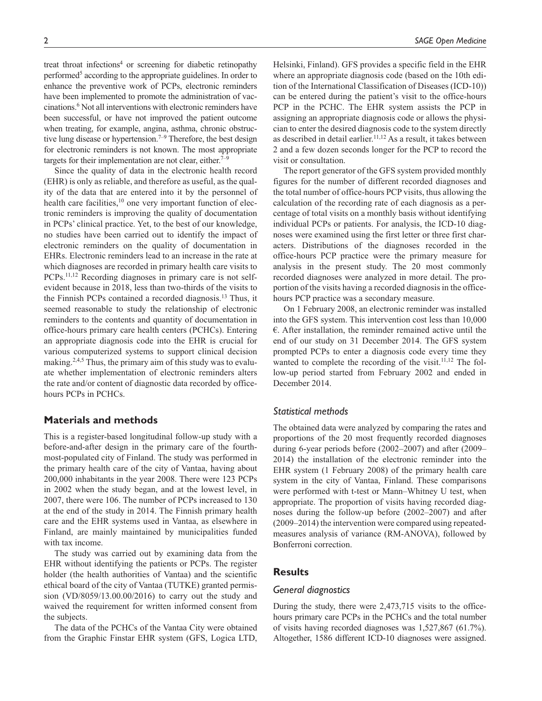treat throat infections<sup>4</sup> or screening for diabetic retinopathy performed<sup>5</sup> according to the appropriate guidelines. In order to enhance the preventive work of PCPs, electronic reminders have been implemented to promote the administration of vaccinations.6 Not all interventions with electronic reminders have been successful, or have not improved the patient outcome when treating, for example, angina, asthma, chronic obstructive lung disease or hypertension.<sup> $7-9$ </sup> Therefore, the best design for electronic reminders is not known. The most appropriate targets for their implementation are not clear, either.<sup>7–9</sup>

Since the quality of data in the electronic health record (EHR) is only as reliable, and therefore as useful, as the quality of the data that are entered into it by the personnel of health care facilities, $10$  one very important function of electronic reminders is improving the quality of documentation in PCPs' clinical practice. Yet, to the best of our knowledge, no studies have been carried out to identify the impact of electronic reminders on the quality of documentation in EHRs. Electronic reminders lead to an increase in the rate at which diagnoses are recorded in primary health care visits to PCPs.<sup>11,12</sup> Recording diagnoses in primary care is not selfevident because in 2018, less than two-thirds of the visits to the Finnish PCPs contained a recorded diagnosis.13 Thus, it seemed reasonable to study the relationship of electronic reminders to the contents and quantity of documentation in office-hours primary care health centers (PCHCs). Entering an appropriate diagnosis code into the EHR is crucial for various computerized systems to support clinical decision making.<sup>2,4,5</sup> Thus, the primary aim of this study was to evaluate whether implementation of electronic reminders alters the rate and/or content of diagnostic data recorded by officehours PCPs in PCHCs.

## **Materials and methods**

This is a register-based longitudinal follow-up study with a before-and-after design in the primary care of the fourthmost-populated city of Finland. The study was performed in the primary health care of the city of Vantaa, having about 200,000 inhabitants in the year 2008. There were 123 PCPs in 2002 when the study began, and at the lowest level, in 2007, there were 106. The number of PCPs increased to 130 at the end of the study in 2014. The Finnish primary health care and the EHR systems used in Vantaa, as elsewhere in Finland, are mainly maintained by municipalities funded with tax income.

The study was carried out by examining data from the EHR without identifying the patients or PCPs. The register holder (the health authorities of Vantaa) and the scientific ethical board of the city of Vantaa (TUTKE) granted permission (VD/8059/13.00.00/2016) to carry out the study and waived the requirement for written informed consent from the subjects.

The data of the PCHCs of the Vantaa City were obtained from the Graphic Finstar EHR system (GFS, Logica LTD, Helsinki, Finland). GFS provides a specific field in the EHR where an appropriate diagnosis code (based on the 10th edition of the International Classification of Diseases (ICD-10)) can be entered during the patient's visit to the office-hours PCP in the PCHC. The EHR system assists the PCP in assigning an appropriate diagnosis code or allows the physician to enter the desired diagnosis code to the system directly as described in detail earlier.<sup>11,12</sup> As a result, it takes between 2 and a few dozen seconds longer for the PCP to record the visit or consultation.

The report generator of the GFS system provided monthly figures for the number of different recorded diagnoses and the total number of office-hours PCP visits, thus allowing the calculation of the recording rate of each diagnosis as a percentage of total visits on a monthly basis without identifying individual PCPs or patients. For analysis, the ICD-10 diagnoses were examined using the first letter or three first characters. Distributions of the diagnoses recorded in the office-hours PCP practice were the primary measure for analysis in the present study. The 20 most commonly recorded diagnoses were analyzed in more detail. The proportion of the visits having a recorded diagnosis in the officehours PCP practice was a secondary measure.

On 1 February 2008, an electronic reminder was installed into the GFS system. This intervention cost less than 10,000  $\epsilon$ . After installation, the reminder remained active until the end of our study on 31 December 2014. The GFS system prompted PCPs to enter a diagnosis code every time they wanted to complete the recording of the visit.<sup>11,12</sup> The follow-up period started from February 2002 and ended in December 2014.

## *Statistical methods*

The obtained data were analyzed by comparing the rates and proportions of the 20 most frequently recorded diagnoses during 6-year periods before (2002–2007) and after (2009– 2014) the installation of the electronic reminder into the EHR system (1 February 2008) of the primary health care system in the city of Vantaa, Finland. These comparisons were performed with t-test or Mann–Whitney U test, when appropriate. The proportion of visits having recorded diagnoses during the follow-up before (2002–2007) and after (2009–2014) the intervention were compared using repeatedmeasures analysis of variance (RM-ANOVA), followed by Bonferroni correction.

#### **Results**

### *General diagnostics*

During the study, there were 2,473,715 visits to the officehours primary care PCPs in the PCHCs and the total number of visits having recorded diagnoses was 1,527,867 (61.7%). Altogether, 1586 different ICD-10 diagnoses were assigned.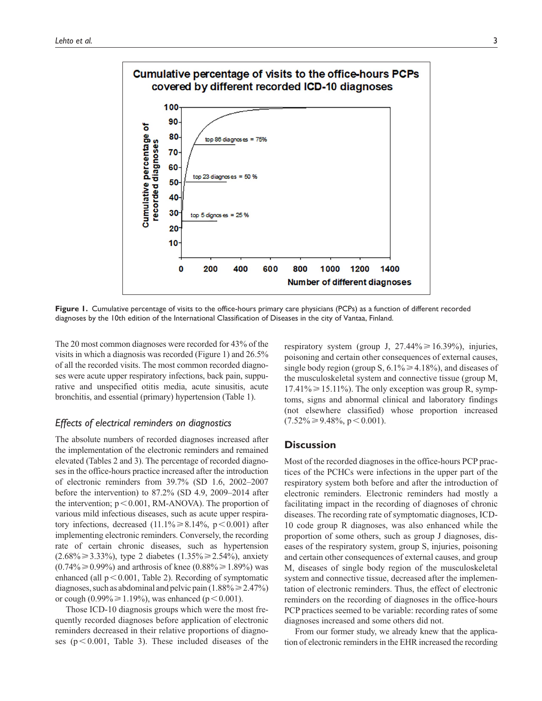

**Figure 1.** Cumulative percentage of visits to the office-hours primary care physicians (PCPs) as a function of different recorded diagnoses by the 10th edition of the International Classification of Diseases in the city of Vantaa, Finland.

The 20 most common diagnoses were recorded for 43% of the visits in which a diagnosis was recorded (Figure 1) and 26.5% of all the recorded visits. The most common recorded diagnoses were acute upper respiratory infections, back pain, suppurative and unspecified otitis media, acute sinusitis, acute bronchitis, and essential (primary) hypertension (Table 1).

## *Effects of electrical reminders on diagnostics*

The absolute numbers of recorded diagnoses increased after the implementation of the electronic reminders and remained elevated (Tables 2 and 3). The percentage of recorded diagnoses in the office-hours practice increased after the introduction of electronic reminders from 39.7% (SD 1.6, 2002–2007 before the intervention) to 87.2% (SD 4.9, 2009–2014 after the intervention;  $p < 0.001$ , RM-ANOVA). The proportion of various mild infectious diseases, such as acute upper respiratory infections, decreased  $(11.1\% \ge 8.14\%, p < 0.001)$  after implementing electronic reminders. Conversely, the recording rate of certain chronic diseases, such as hypertension  $(2.68\% \ge 3.33\%)$ , type 2 diabetes  $(1.35\% \ge 2.54\%)$ , anxiety  $(0.74\% \ge 0.99\%)$  and arthrosis of knee  $(0.88\% \ge 1.89\%)$  was enhanced (all  $p < 0.001$ , Table 2). Recording of symptomatic diagnoses, such as abdominal and pelvic pain  $(1.88\% \ge 2.47\%)$ or cough (0.99% $\geq 1.19$ %), was enhanced (p < 0.001).

Those ICD-10 diagnosis groups which were the most frequently recorded diagnoses before application of electronic reminders decreased in their relative proportions of diagnoses ( $p < 0.001$ , Table 3). These included diseases of the respiratory system (group J,  $27.44\% \ge 16.39\%$ ), injuries, poisoning and certain other consequences of external causes, single body region (group S,  $6.1\% \ge 4.18\%$ ), and diseases of the musculoskeletal system and connective tissue (group M,  $17.41\% \ge 15.11\%$ . The only exception was group R, symptoms, signs and abnormal clinical and laboratory findings (not elsewhere classified) whose proportion increased  $(7.52\% \geq 9.48\%, p < 0.001)$ .

## **Discussion**

Most of the recorded diagnoses in the office-hours PCP practices of the PCHCs were infections in the upper part of the respiratory system both before and after the introduction of electronic reminders. Electronic reminders had mostly a facilitating impact in the recording of diagnoses of chronic diseases. The recording rate of symptomatic diagnoses, ICD-10 code group R diagnoses, was also enhanced while the proportion of some others, such as group J diagnoses, diseases of the respiratory system, group S, injuries, poisoning and certain other consequences of external causes, and group M, diseases of single body region of the musculoskeletal system and connective tissue, decreased after the implementation of electronic reminders. Thus, the effect of electronic reminders on the recording of diagnoses in the office-hours PCP practices seemed to be variable: recording rates of some diagnoses increased and some others did not.

From our former study, we already knew that the application of electronic reminders in the EHR increased the recording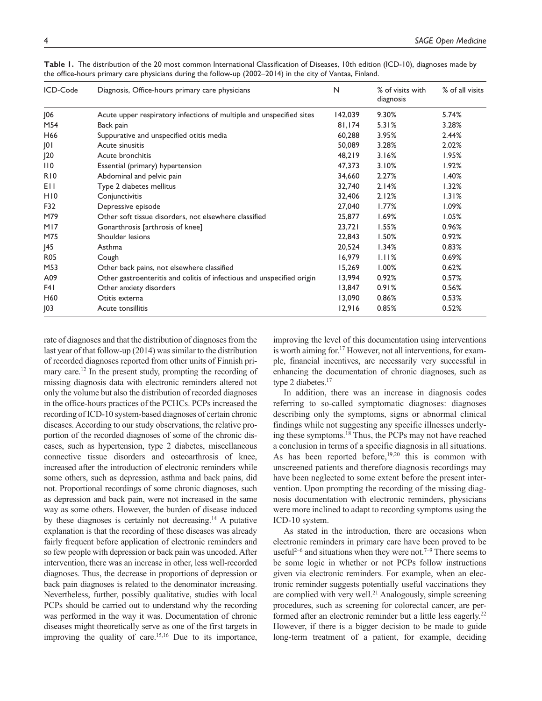| ICD-Code        | Diagnosis, Office-hours primary care physicians                        | N       | % of visits with<br>diagnosis | % of all visits |
|-----------------|------------------------------------------------------------------------|---------|-------------------------------|-----------------|
| J06             | Acute upper respiratory infections of multiple and unspecified sites   | 142,039 | 9.30%                         | 5.74%           |
| M54             | Back pain                                                              | 81,174  | 5.31%                         | 3.28%           |
| H66             | Suppurative and unspecified otitis media                               | 60,288  | 3.95%                         | 2.44%           |
| JO I            | Acute sinusitis                                                        | 50,089  | 3.28%                         | 2.02%           |
| J20             | Acute bronchitis                                                       | 48,219  | 3.16%                         | 1.95%           |
| 110             | Essential (primary) hypertension                                       | 47,373  | 3.10%                         | 1.92%           |
| R <sub>10</sub> | Abdominal and pelvic pain                                              | 34,660  | 2.27%                         | 1.40%           |
| EII             | Type 2 diabetes mellitus                                               | 32,740  | 2.14%                         | 1.32%           |
| H <sub>10</sub> | Conjunctivitis                                                         | 32,406  | 2.12%                         | 1.31%           |
| F32             | Depressive episode                                                     | 27,040  | 1.77%                         | 1.09%           |
| M79             | Other soft tissue disorders, not elsewhere classified                  | 25,877  | 1.69%                         | 1.05%           |
| M17             | Gonarthrosis [arthrosis of knee]                                       | 23,721  | 1.55%                         | 0.96%           |
| M75             | Shoulder lesions                                                       | 22,843  | 1.50%                         | 0.92%           |
| J45             | Asthma                                                                 | 20,524  | 1.34%                         | 0.83%           |
| <b>R05</b>      | Cough                                                                  | 16,979  | 1.11%                         | 0.69%           |
| M53             | Other back pains, not elsewhere classified                             | 15,269  | 1.00%                         | 0.62%           |
| A09             | Other gastroenteritis and colitis of infectious and unspecified origin | 13,994  | 0.92%                         | 0.57%           |
| F41             | Other anxiety disorders                                                | 13,847  | 0.91%                         | 0.56%           |
| H60             | Otitis externa                                                         | 13,090  | 0.86%                         | 0.53%           |
| J03             | Acute tonsillitis                                                      | 12,916  | 0.85%                         | 0.52%           |

**Table 1.** The distribution of the 20 most common International Classification of Diseases, 10th edition (ICD-10), diagnoses made by the office-hours primary care physicians during the follow-up (2002–2014) in the city of Vantaa, Finland.

rate of diagnoses and that the distribution of diagnoses from the last year of that follow-up (2014) was similar to the distribution of recorded diagnoses reported from other units of Finnish primary care.<sup>12</sup> In the present study, prompting the recording of missing diagnosis data with electronic reminders altered not only the volume but also the distribution of recorded diagnoses in the office-hours practices of the PCHCs. PCPs increased the recording of ICD-10 system-based diagnoses of certain chronic diseases. According to our study observations, the relative proportion of the recorded diagnoses of some of the chronic diseases, such as hypertension, type 2 diabetes, miscellaneous connective tissue disorders and osteoarthrosis of knee, increased after the introduction of electronic reminders while some others, such as depression, asthma and back pains, did not. Proportional recordings of some chronic diagnoses, such as depression and back pain, were not increased in the same way as some others. However, the burden of disease induced by these diagnoses is certainly not decreasing.<sup>14</sup> A putative explanation is that the recording of these diseases was already fairly frequent before application of electronic reminders and so few people with depression or back pain was uncoded. After intervention, there was an increase in other, less well-recorded diagnoses. Thus, the decrease in proportions of depression or back pain diagnoses is related to the denominator increasing. Nevertheless, further, possibly qualitative, studies with local PCPs should be carried out to understand why the recording was performed in the way it was. Documentation of chronic diseases might theoretically serve as one of the first targets in improving the quality of care.<sup>15,16</sup> Due to its importance, improving the level of this documentation using interventions is worth aiming for.<sup>17</sup> However, not all interventions, for example, financial incentives, are necessarily very successful in enhancing the documentation of chronic diagnoses, such as type 2 diabetes.<sup>17</sup>

In addition, there was an increase in diagnosis codes referring to so-called symptomatic diagnoses: diagnoses describing only the symptoms, signs or abnormal clinical findings while not suggesting any specific illnesses underlying these symptoms.18 Thus, the PCPs may not have reached a conclusion in terms of a specific diagnosis in all situations. As has been reported before,  $19,20$  this is common with unscreened patients and therefore diagnosis recordings may have been neglected to some extent before the present intervention. Upon prompting the recording of the missing diagnosis documentation with electronic reminders, physicians were more inclined to adapt to recording symptoms using the ICD-10 system.

As stated in the introduction, there are occasions when electronic reminders in primary care have been proved to be useful<sup>2–6</sup> and situations when they were not.<sup>7–9</sup> There seems to be some logic in whether or not PCPs follow instructions given via electronic reminders. For example, when an electronic reminder suggests potentially useful vaccinations they are complied with very well.<sup>21</sup> Analogously, simple screening procedures, such as screening for colorectal cancer, are performed after an electronic reminder but a little less eagerly.<sup>22</sup> However, if there is a bigger decision to be made to guide long-term treatment of a patient, for example, deciding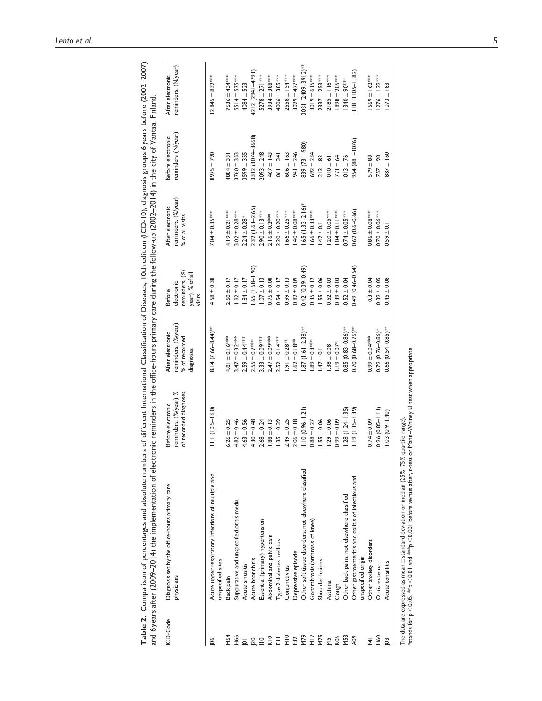| ICD-Code                | Diagnosis set by the office-hours primary care<br>physicians              | reminders, (%/year) %<br>of recorded diagnoses<br>Before electronic | reminders, (%/year)<br>After electronic<br>% of recorded<br>diagnoses | reminders, (%<br>year), % of all<br>electronic<br><b>Before</b><br>visits | reminders, (%/year)<br>After electronic<br>% of all visits | reminders (N/year)<br>Before electronic | reminders, (N/year)<br>After electronic |
|-------------------------|---------------------------------------------------------------------------|---------------------------------------------------------------------|-----------------------------------------------------------------------|---------------------------------------------------------------------------|------------------------------------------------------------|-----------------------------------------|-----------------------------------------|
| $\frac{8}{2}$           | Acute upper respiratory infections of multiple and<br>unspecified sites   | $11.1(10.5-13.0)$                                                   | $8.14(7.66 - 8.44)$ **                                                | $4.58 \pm 0.38$                                                           | $7.04 \pm 0.35***$                                         | $8975 + 790$                            | $12,845 \pm 832$ ***                    |
| <b>M54</b>              | Back pain                                                                 | $6.26 \pm 0.25$                                                     | $4.81 \pm 0.16$ ***                                                   | $2.50 \pm 0.17$                                                           | 4.19 $\pm$ 0.21 ***                                        | 4884 ± 331                              | 7636 $\pm$ 434***                       |
| <b>H66</b>              | Suppurative and unspecified otitis media                                  | $4.82 \pm 0.46$                                                     | $3.47 \pm 0.32***$                                                    | $1.92 \pm 0.17$                                                           | $3.02 \pm 0.28***$                                         | $3760 + 353$                            | $5514 \pm 575$ ***                      |
| $\overline{9}$          | Acute sinusitis                                                           | $4.63 \pm 0.56$                                                     | $2.59 \pm 0.44***$                                                    | $.84 \pm 0.17$                                                            | $2.24 \pm 0.28$ *                                          | $1599 \pm 355$                          | $4084 \pm 523$                          |
| $\overline{20}$         | Acute bronchitis                                                          | $4.30 \pm 0.48$                                                     | $2.55 \pm 0.7***$                                                     | $.65(1.58 - 1.90)$                                                        | $2.32(1.61 - 2.65)$                                        | 312 (3074-3668)                         | 4212 (2941-4791)                        |
| $\stackrel{\circ}{=}$   | Essential (primary) hypertension                                          | $2.68 + 0.24$                                                       | $3.33 \pm 0.09***$                                                    | $1.07 \pm 0.13$                                                           | $2.90 \pm 0.13***$                                         | $2093 + 248$                            | 5278 $\pm$ 271***                       |
| $rac{1}{6}$ $rac{1}{6}$ | Abdominal and pelvic pain                                                 | $.88 \pm 0.13$                                                      | $2.47 \pm 0.09***$                                                    | $0.75 \pm 0.08$                                                           | $2.16 \pm 0.2$ ***                                         | $1467 \pm 143$                          | $3934 \pm 388$ ***                      |
|                         | Type 2 diabetes mellitus                                                  | $35 + 0.39$                                                         | $2.52 \pm 0.14***$                                                    | $0.54 \pm 0.17$                                                           | $2.20 \pm 0.20$ ***                                        | $1061 \pm 341$                          | 4006 $\pm$ 385***                       |
| $rac{1}{2}$             | Conjunctivitis                                                            | $2.49 \pm 0.25$                                                     | $1.91 \pm 0.28***$                                                    | $0.99 \pm 0.13$                                                           | $1.66 \pm 0.25***$                                         | $606 \pm 163$                           | $2558 \pm 154***$                       |
| F32<br>M79              | Depressive episode                                                        | $2.06 \pm 0.18$                                                     | $.62 \pm 0.18***$                                                     | $0.82 \pm 0.09$                                                           | $.40 + 0.08$ ***                                           | $ 941 \pm 246$                          | 3029 ± 477***                           |
|                         | Other soft tissue disorders, not elsewhere classified                     | $1.10(0.96 - 1.21)$                                                 | $.87(1.61 - 2.38)$ **                                                 | $0.42(0.39 - 0.49)$                                                       | $1.65$ (1.33-2.16) <sup>*</sup>                            | 839 (731-980)                           | 3031 (2409-3912)***                     |
| N <sub>12</sub>         | Gonarthrosis (arthrosis of knee)                                          | $0.88 \pm 0.27$                                                     | $89 + 0.3***$                                                         | $0.35 \pm 0.12$                                                           | $.66 \pm 0.33***$                                          | $692 \pm 234$                           | 3019 ± 615***                           |
|                         | Shoulder lesions                                                          | $.55 \pm 0.06$                                                      | $.47 \pm 0.1$                                                         | $1.55 \pm 0.06$                                                           | $.47 \pm 0.1$                                              | $1213 \pm 83$                           | $2337 \pm 253***$                       |
| $\frac{45}{5}$          | Asthma                                                                    | $.29 \pm 0.06$                                                      | $.38 \pm 0.08$                                                        | $0.52 \pm 0.03$                                                           | $.20 \pm 0.05***$                                          | $010 \pm 61$                            | $2185 + 116***$                         |
| R <sub>05</sub>         | Cough                                                                     | $0.99 \pm 0.09$                                                     | $-19 + 0.07$ *                                                        | $0.39 + 0.03$                                                             | $.04 \pm 0.11***$                                          | $771 \pm 64$                            | $1898 \pm 205***$                       |
| Σă                      | Other back pains, not elsewhere classified                                | $(1.28(1.24 - 1.35))$                                               | $0.85(0.83 - 0.86)$ ***                                               | $0.52 \pm 0.04$                                                           | $0.74 \pm 0.05***$                                         | $1013 \pm 76$                           | $1340 \pm 90$ ***                       |
| A09                     | Other gastroenteritis and colitis of infectious and<br>unspecified origin | $1.19(1.15 - 1.39)$                                                 | $0.70(0.68 - 0.76)$ **                                                | $0.49(0.46 - 0.54)$                                                       | $0.62(0.6-0.66)$                                           | 954 (881 - 1076)                        | 8 (     05-   182)                      |
| F4I                     | Other anxiety disorders                                                   | $0.74 \pm 0.09$                                                     | $0.99 \pm 0.04***$                                                    | $0.3 + 0.04$                                                              | $0.86 \pm 0.08***$                                         | $579 \pm 88$                            | $1569 \pm 162$ ***                      |
| H <sub>60</sub>         | Otitis externa                                                            | $0.96(0.85 - 1.11)$                                                 | $0.79(0.76 - 0.86)$ *                                                 | $0.39 + 0.05$                                                             | $0.70 \pm 0.06***$                                         | $757 \pm 98$                            | $1276 \pm 129***$                       |
| $\overline{0}$          | Acute tonsilitis                                                          | $1.03(0.9 - 1.40)$                                                  | $0.66(0.54 - 0.85)$ <sup>***</sup>                                    | $0.45 \pm 0.08$                                                           | $0.59 \pm 0.1$                                             | $887 \pm 160$                           | $073 \pm 183$                           |
|                         | $T = 0$                                                                   |                                                                     |                                                                       |                                                                           |                                                            |                                         |                                         |
|                         |                                                                           |                                                                     |                                                                       |                                                                           |                                                            |                                         |                                         |

Table 2. Comparison of percentages and absolute numbers of different International Classification of Diseases, 10th edition (ICD-10), diagnosis groups 6years before (2002–2007)<br>and 6years after (2009–2014) the implementati **Table 2.** Comparison of percentages and absolute numbers of different International Classification of Diseases, 10th edition (ICD-10), diagnosis groups 6years before (2002–2007) and 6 years after (2009–2014) the implementation of electronic reminders in the office-hours primary care during the follow-up (2002–2014) in the city of Vantaa, Finland.

The data are expressed as mean  $\pm$  standard deviation or median (25%–75% quartile range).<br>\*stands for p < 0.05, \*\*p < 0.01 and \*\*\*p < 0.001 before versus after, t-test or Mann–Whiney U test when appropriate.  $^*$ stands for p $<$  0.05,  $^{**}$ p $<$  0.01 and  $^{***}$ p $<$  0.001 before versus after, t-test or Mann–Whiney U test when appropriate. The data are expressed as mean $\pm$ standard deviation or median (25%–75% quartile range).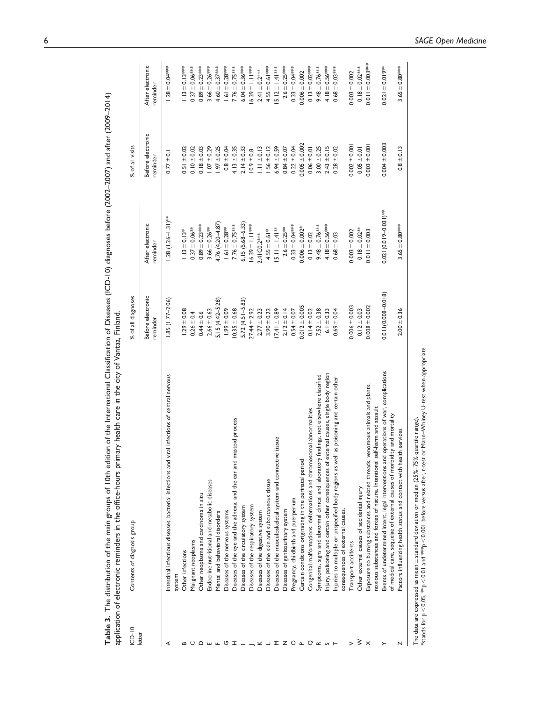| $ICD-10$ | Contents of diagnosis group                                                                  | % of all diagnoses            |                              | % of all visits               |                              |
|----------|----------------------------------------------------------------------------------------------|-------------------------------|------------------------------|-------------------------------|------------------------------|
| letter   |                                                                                              | Before electronic<br>reminder | After electronic<br>reminder | Before electronic<br>reminder | After electronic<br>reminder |
|          | Intestinal infectious diseases, bacterial infections and viral infections of central nervous | $1.85(1.77 - 2.06)$           | $1.28(1.26 - 1.31)^{***}$    | $0.77 \pm 0.1$                | $1.28 \pm 0.04***$           |
|          | Other infections<br>system                                                                   | $1.29 \pm 0.08$               | $1.13 \pm 0.13*$             | $0.51 \pm 0.02$               | $1.13 \pm 0.13$ ***          |
|          | Malignant neoplasms                                                                          | $0.26 \pm 0.4$                | $0.37 \pm 0.06***$           | $0.10 \pm 0.02$               | $0.37\pm0.06$ ***            |
|          | Other neoplasms and carcinoma in situ                                                        | $0.44 \pm 0.6$                | $0.89 \pm 0.23***$           | $0.18 \pm 0.03$               | $0.89 \pm 0.23***$           |
|          | Endocrine nutritional and metabolic diseases                                                 | $2.66 \pm 0.63$               | $3.66 \pm 0.26***$           | $1.07 \pm 0.29$               | $3.66 \pm 0.26***$           |
|          | Mental and behavioral disorders                                                              | $5.15(4.42 - 5.28)$           | 4.76 (4.20 - 4.87            | $1.97 \pm 0.25$               | 4.60 $\pm$ 0.37***           |
|          | Diseases of the nervous systems                                                              | $99 + 0.09$                   | $1.61 \pm 0.28***$           | $0.8 + 0.04$                  | $1.61 \pm 0.28***$           |
|          | Diseases of the eye and the adnexa, and the ear and mastoid process                          | $0.35 \pm 0.68$               | 7.76 $\pm$ 0.75***           | $4.13 \pm 0.35$               | 7.76 $\pm$ 0.75***           |
|          | Diseases of the circulatory system                                                           | $5.72(4.51 - 5.83)$           | $6.15(5.68 - 6.33)$          | $2.14 \pm 0.33$               | $6.04 \pm 0.36***$           |
|          | Diseases of the respiratory system                                                           | $27.44 \pm 2.92$              | $16.39 \pm 1.11$ ***         | $10.9 \pm 0.8$                | 6.39 $\pm$ 1.1 ***           |
|          | Diseases of the digestive system                                                             | $2.77 \pm 0.23$               | 2.41 C0.2***                 | $1.11 \pm 0.13$               | $2.41 \pm 0.2$ ***           |
|          | Diseases of the skin and subcutaneous tissue                                                 | $3.90 \pm 0.22$               | $4.55 \pm 0.61*$             | $1.56 \pm 0.12$               | 4.55 $\pm$ 0.61 ***          |
| Σ        | Diseases of the musculoskeletal system and connective tissue                                 | $7.41 \pm 0.89$               | $5.11 \pm 1.41**$            | $6.94 \pm 0.59$               | 5.12 $\pm$ 1.41 ***          |
|          | Diseases of genitourinary system                                                             | $2.12 \pm 0.14$               | $2.6 \pm 0.25***$            | $0.84 \pm 0.07$               | $2.6 \pm 0.25***$            |
| O        | Pregnancy, childbirth and puerperium                                                         | $0.54 \pm 0.07$               | $0.33 \pm 0.04***$           | $0.22 \pm 0.04$               | $0.33 \pm 0.04***$           |
|          | Certain conditions originating in the perinatal period                                       | $0.012 \pm 0.005$             | $0.006 \pm 0.002$ *          | $0.005 \pm 0.002$             | $0.006 \pm 0.002$            |
| $\alpha$ | Congenital malformations, deformations and chromosomal abnormalities                         | $0.14 \pm 0.02$               | $0.13 \pm 0.02$              | $0.06 \pm 0.01$               | $0.13 \pm 0.02$ ***          |
|          | Symptoms, signs and abnormal clinical and laboratory findings, not elsewhere classified      | $7.52 \pm 0.38$               | 9.48 $\pm$ 0.76***           | $3.00 + 0.25$                 | 9.48 $\pm$ 0.76***           |
|          | Injury, poisoning and certain other consequences of external causes, single body region      | $6.1 \pm 0.33$                | 4.18 $\pm$ 0.56***           | $2.43 \pm 0.15$               | 4.18 $\pm$ 0.56***           |
|          | as poisoning and certain other<br>Injuries to multiple or unspecified body regions as well   | $0.69 + 0.04$                 | $0.68 + 0.03$                | $0.28 + 0.02$                 | $0.68 \pm 0.03$ ***          |
|          | consequences of external causes.                                                             |                               |                              |                               |                              |
|          | Transport accidents                                                                          | $0.006 \pm 0.003$             | $0.003 \pm 0.002$            | $0.002 \pm 0.001$             | $0.003 + 0.002$              |
|          | Other external causes of accidental injury                                                   | $0.12 \pm 0.03$               | $0.18 \pm 0.02***$           | $0.05 \pm 0.01$               | $0.18 \pm 0.02$ ***          |
|          | Exposure to burning substances and related threads, venomous animals and plants,             | $0.008 \pm 0.002$             | $0.011 \pm 0.003$            | $0.003 + 0.001$               | $0.011 \pm 0.003$ ****       |
|          | noxious substances and forces of nature. Intentional self-harm and assault                   |                               |                              |                               |                              |
|          | Events of undetermined intent, legal interventions and operations of war, complications      | $0.011(0.008 - 0.018)$        | $0.021(0.019 - 0.031)$ **    | $0.004 \pm 0.003$             | $0.021 \pm 0.01$ 9**         |
|          | of medical care, sequelae of external causes of morbidity and mortality                      |                               |                              |                               |                              |
|          | th services<br>Factors influencing health status and contact with heal                       | $2.00 \pm 0.36$               | $3.65 \pm 0.80***$           | $0.8 \pm 0.13$                | $3.65 \pm 0.80***$           |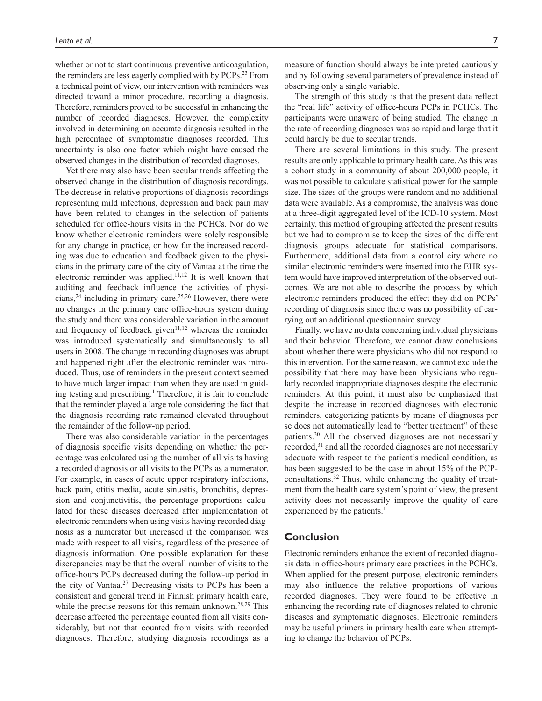whether or not to start continuous preventive anticoagulation, the reminders are less eagerly complied with by PCPs.<sup>23</sup> From a technical point of view, our intervention with reminders was directed toward a minor procedure, recording a diagnosis. Therefore, reminders proved to be successful in enhancing the number of recorded diagnoses. However, the complexity involved in determining an accurate diagnosis resulted in the high percentage of symptomatic diagnoses recorded. This uncertainty is also one factor which might have caused the observed changes in the distribution of recorded diagnoses.

Yet there may also have been secular trends affecting the observed change in the distribution of diagnosis recordings. The decrease in relative proportions of diagnosis recordings representing mild infections, depression and back pain may have been related to changes in the selection of patients scheduled for office-hours visits in the PCHCs. Nor do we know whether electronic reminders were solely responsible for any change in practice, or how far the increased recording was due to education and feedback given to the physicians in the primary care of the city of Vantaa at the time the electronic reminder was applied.11,12 It is well known that auditing and feedback influence the activities of physicians,<sup>24</sup> including in primary care.<sup>25,26</sup> However, there were no changes in the primary care office-hours system during the study and there was considerable variation in the amount and frequency of feedback given $11,12$  whereas the reminder was introduced systematically and simultaneously to all users in 2008. The change in recording diagnoses was abrupt and happened right after the electronic reminder was introduced. Thus, use of reminders in the present context seemed to have much larger impact than when they are used in guiding testing and prescribing.<sup>1</sup> Therefore, it is fair to conclude that the reminder played a large role considering the fact that the diagnosis recording rate remained elevated throughout the remainder of the follow-up period.

There was also considerable variation in the percentages of diagnosis specific visits depending on whether the percentage was calculated using the number of all visits having a recorded diagnosis or all visits to the PCPs as a numerator. For example, in cases of acute upper respiratory infections, back pain, otitis media, acute sinusitis, bronchitis, depression and conjunctivitis, the percentage proportions calculated for these diseases decreased after implementation of electronic reminders when using visits having recorded diagnosis as a numerator but increased if the comparison was made with respect to all visits, regardless of the presence of diagnosis information. One possible explanation for these discrepancies may be that the overall number of visits to the office-hours PCPs decreased during the follow-up period in the city of Vantaa.27 Decreasing visits to PCPs has been a consistent and general trend in Finnish primary health care, while the precise reasons for this remain unknown.<sup>28,29</sup> This decrease affected the percentage counted from all visits considerably, but not that counted from visits with recorded diagnoses. Therefore, studying diagnosis recordings as a

measure of function should always be interpreted cautiously and by following several parameters of prevalence instead of observing only a single variable.

The strength of this study is that the present data reflect the "real life" activity of office-hours PCPs in PCHCs. The participants were unaware of being studied. The change in the rate of recording diagnoses was so rapid and large that it could hardly be due to secular trends.

There are several limitations in this study. The present results are only applicable to primary health care. As this was a cohort study in a community of about 200,000 people, it was not possible to calculate statistical power for the sample size. The sizes of the groups were random and no additional data were available. As a compromise, the analysis was done at a three-digit aggregated level of the ICD-10 system. Most certainly, this method of grouping affected the present results but we had to compromise to keep the sizes of the different diagnosis groups adequate for statistical comparisons. Furthermore, additional data from a control city where no similar electronic reminders were inserted into the EHR system would have improved interpretation of the observed outcomes. We are not able to describe the process by which electronic reminders produced the effect they did on PCPs' recording of diagnosis since there was no possibility of carrying out an additional questionnaire survey.

Finally, we have no data concerning individual physicians and their behavior. Therefore, we cannot draw conclusions about whether there were physicians who did not respond to this intervention. For the same reason, we cannot exclude the possibility that there may have been physicians who regularly recorded inappropriate diagnoses despite the electronic reminders. At this point, it must also be emphasized that despite the increase in recorded diagnoses with electronic reminders, categorizing patients by means of diagnoses per se does not automatically lead to "better treatment" of these patients.30 All the observed diagnoses are not necessarily recorded,<sup>31</sup> and all the recorded diagnoses are not necessarily adequate with respect to the patient's medical condition, as has been suggested to be the case in about 15% of the PCPconsultations.32 Thus, while enhancing the quality of treatment from the health care system's point of view, the present activity does not necessarily improve the quality of care experienced by the patients.<sup>1</sup>

## **Conclusion**

Electronic reminders enhance the extent of recorded diagnosis data in office-hours primary care practices in the PCHCs. When applied for the present purpose, electronic reminders may also influence the relative proportions of various recorded diagnoses. They were found to be effective in enhancing the recording rate of diagnoses related to chronic diseases and symptomatic diagnoses. Electronic reminders may be useful primers in primary health care when attempting to change the behavior of PCPs.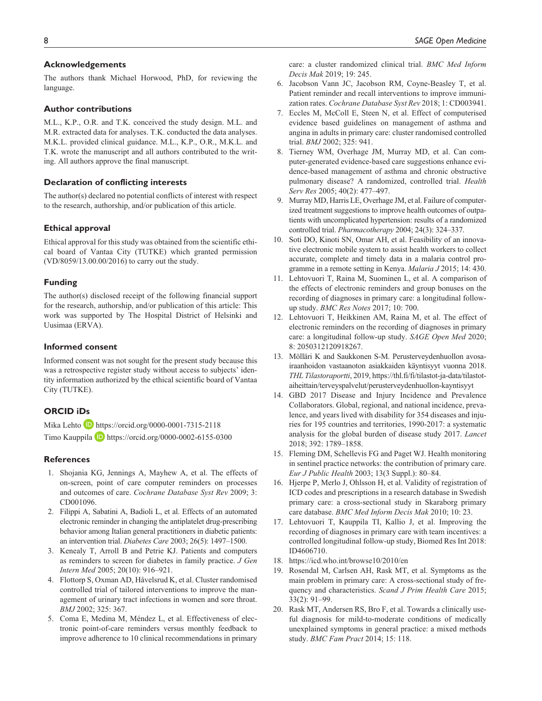#### **Acknowledgements**

The authors thank Michael Horwood, PhD, for reviewing the language.

### **Author contributions**

M.L., K.P., O.R. and T.K. conceived the study design. M.L. and M.R. extracted data for analyses. T.K. conducted the data analyses. M.K.L. provided clinical guidance. M.L., K.P., O.R., M.K.L. and T.K. wrote the manuscript and all authors contributed to the writing. All authors approve the final manuscript.

## **Declaration of conflicting interests**

The author(s) declared no potential conflicts of interest with respect to the research, authorship, and/or publication of this article.

#### **Ethical approval**

Ethical approval for this study was obtained from the scientific ethical board of Vantaa City (TUTKE) which granted permission (VD/8059/13.00.00/2016) to carry out the study.

## **Funding**

The author(s) disclosed receipt of the following financial support for the research, authorship, and/or publication of this article: This work was supported by The Hospital District of Helsinki and Uusimaa (ERVA).

## **Informed consent**

Informed consent was not sought for the present study because this was a retrospective register study without access to subjects' identity information authorized by the ethical scientific board of Vantaa City (TUTKE).

## **ORCID iDs**

Mika Lehto **D** <https://orcid.org/0000-0001-7315-2118>

Timo Kauppila D <https://orcid.org/0000-0002-6155-0300>

#### **References**

- 1. Shojania KG, Jennings A, Mayhew A, et al. The effects of on-screen, point of care computer reminders on processes and outcomes of care. *Cochrane Database Syst Rev* 2009; 3: CD001096.
- 2. Filippi A, Sabatini A, Badioli L, et al. Effects of an automated electronic reminder in changing the antiplatelet drug-prescribing behavior among Italian general practitioners in diabetic patients: an intervention trial. *Diabetes Care* 2003; 26(5): 1497–1500.
- 3. Kenealy T, Arroll B and Petrie KJ. Patients and computers as reminders to screen for diabetes in family practice. *J Gen Intern Med* 2005; 20(10): 916–921.
- 4. Flottorp S, Oxman AD, Håvelsrud K, et al. Cluster randomised controlled trial of tailored interventions to improve the management of urinary tract infections in women and sore throat. *BMJ* 2002; 325: 367.
- 5. Coma E, Medina M, Méndez L, et al. Effectiveness of electronic point-of-care reminders versus monthly feedback to improve adherence to 10 clinical recommendations in primary

care: a cluster randomized clinical trial. *BMC Med Inform Decis Mak* 2019; 19: 245.

- 6. Jacobson Vann JC, Jacobson RM, Coyne-Beasley T, et al. Patient reminder and recall interventions to improve immunization rates. *Cochrane Database Syst Rev* 2018; 1: CD003941.
- 7. Eccles M, McColl E, Steen N, et al. Effect of computerised evidence based guidelines on management of asthma and angina in adults in primary care: cluster randomised controlled trial. *BMJ* 2002; 325: 941.
- 8. Tierney WM, Overhage JM, Murray MD, et al. Can computer-generated evidence-based care suggestions enhance evidence-based management of asthma and chronic obstructive pulmonary disease? A randomized, controlled trial. *Health Serv Res* 2005; 40(2): 477–497.
- 9. Murray MD, Harris LE, Overhage JM, et al. Failure of computerized treatment suggestions to improve health outcomes of outpatients with uncomplicated hypertension: results of a randomized controlled trial. *Pharmacotherapy* 2004; 24(3): 324–337.
- 10. Soti DO, Kinoti SN, Omar AH, et al. Feasibility of an innovative electronic mobile system to assist health workers to collect accurate, complete and timely data in a malaria control programme in a remote setting in Kenya. *Malaria J* 2015; 14: 430.
- 11. Lehtovuori T, Raina M, Suominen L, et al. A comparison of the effects of electronic reminders and group bonuses on the recording of diagnoses in primary care: a longitudinal followup study. *BMC Res Notes* 2017; 10: 700.
- 12. Lehtovuori T, Heikkinen AM, Raina M, et al. The effect of electronic reminders on the recording of diagnoses in primary care: a longitudinal follow-up study. *SAGE Open Med* 2020; 8: 2050312120918267.
- 13. Mölläri K and Saukkonen S-M. Perusterveydenhuollon avosairaanhoidon vastaanoton asiakkaiden käyntisyyt vuonna 2018. *THL Tilastoraportti*, 2019, [https://thl.fi/fi/tilastot-ja-data/tilastot](https://thl.fi/fi/tilastot-ja-data/tilastot-aiheittain/terveyspalvelut/perusterveydenhuollon-kayntisyyt)[aiheittain/terveyspalvelut/perusterveydenhuollon-kayntisyyt](https://thl.fi/fi/tilastot-ja-data/tilastot-aiheittain/terveyspalvelut/perusterveydenhuollon-kayntisyyt)
- 14. GBD 2017 Disease and Injury Incidence and Prevalence Collaborators. Global, regional, and national incidence, prevalence, and years lived with disability for 354 diseases and injuries for 195 countries and territories, 1990-2017: a systematic analysis for the global burden of disease study 2017. *Lancet* 2018; 392: 1789–1858.
- 15. Fleming DM, Schellevis FG and Paget WJ. Health monitoring in sentinel practice networks: the contribution of primary care. *Eur J Public Health* 2003; 13(3 Suppl.): 80–84.
- 16. Hjerpe P, Merlo J, Ohlsson H, et al. Validity of registration of ICD codes and prescriptions in a research database in Swedish primary care: a cross-sectional study in Skaraborg primary care database. *BMC Med Inform Decis Mak* 2010; 10: 23.
- 17. Lehtovuori T, Kauppila TI, Kallio J, et al. Improving the recording of diagnoses in primary care with team incentives: a controlled longitudinal follow-up study, Biomed Res Int 2018: ID4606710.
- 18. <https://icd.who.int/browse10/2010/en>
- 19. Rosendal M, Carlsen AH, Rask MT, et al. Symptoms as the main problem in primary care: A cross-sectional study of frequency and characteristics. *Scand J Prim Health Care* 2015; 33(2): 91–99.
- 20. Rask MT, Andersen RS, Bro F, et al. Towards a clinically useful diagnosis for mild-to-moderate conditions of medically unexplained symptoms in general practice: a mixed methods study. *BMC Fam Pract* 2014; 15: 118.